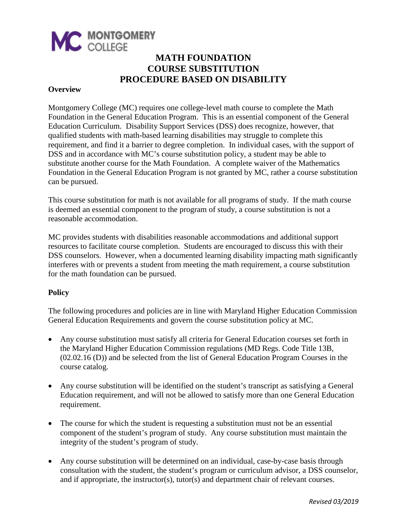

### **MATH FOUNDATION COURSE SUBSTITUTION PROCEDURE BASED ON DISABILITY**

#### **Overview**

Montgomery College (MC) requires one college-level math course to complete the Math Foundation in the General Education Program. This is an essential component of the General Education Curriculum. Disability Support Services (DSS) does recognize, however, that qualified students with math-based learning disabilities may struggle to complete this requirement, and find it a barrier to degree completion. In individual cases, with the support of DSS and in accordance with MC's course substitution policy, a student may be able to substitute another course for the Math Foundation. A complete waiver of the Mathematics Foundation in the General Education Program is not granted by MC, rather a course substitution can be pursued.

This course substitution for math is not available for all programs of study. If the math course is deemed an essential component to the program of study, a course substitution is not a reasonable accommodation.

MC provides students with disabilities reasonable accommodations and additional support resources to facilitate course completion. Students are encouraged to discuss this with their DSS counselors. However, when a documented learning disability impacting math significantly interferes with or prevents a student from meeting the math requirement, a course substitution for the math foundation can be pursued.

#### **Policy**

The following procedures and policies are in line with Maryland Higher Education Commission General Education Requirements and govern the course substitution policy at MC.

- Any course substitution must satisfy all criteria for General Education courses set forth in the Maryland Higher Education Commission regulations (MD Regs. Code Title 13B, (02.02.16 (D)) and be selected from the list of General Education Program Courses in the course catalog.
- Any course substitution will be identified on the student's transcript as satisfying a General Education requirement, and will not be allowed to satisfy more than one General Education requirement.
- The course for which the student is requesting a substitution must not be an essential component of the student's program of study. Any course substitution must maintain the integrity of the student's program of study.
- Any course substitution will be determined on an individual, case-by-case basis through consultation with the student, the student's program or curriculum advisor, a DSS counselor, and if appropriate, the instructor(s), tutor(s) and department chair of relevant courses.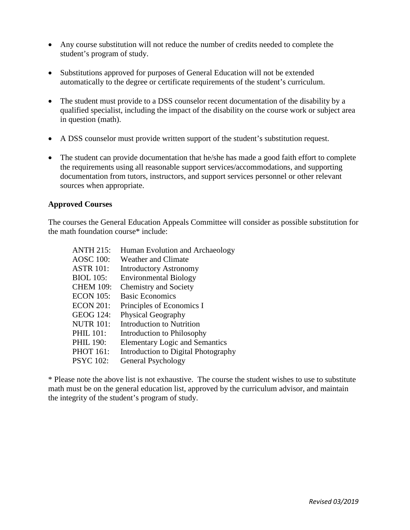- Any course substitution will not reduce the number of credits needed to complete the student's program of study.
- Substitutions approved for purposes of General Education will not be extended automatically to the degree or certificate requirements of the student's curriculum.
- The student must provide to a DSS counselor recent documentation of the disability by a qualified specialist, including the impact of the disability on the course work or subject area in question (math).
- A DSS counselor must provide written support of the student's substitution request.
- The student can provide documentation that he/she has made a good faith effort to complete the requirements using all reasonable support services/accommodations, and supporting documentation from tutors, instructors, and support services personnel or other relevant sources when appropriate.

#### **Approved Courses**

The courses the General Education Appeals Committee will consider as possible substitution for the math foundation course\* include:

| <b>ANTH 215:</b> | Human Evolution and Archaeology       |
|------------------|---------------------------------------|
| <b>AOSC 100:</b> | Weather and Climate                   |
| <b>ASTR 101:</b> | <b>Introductory Astronomy</b>         |
| <b>BIOL</b> 105: | <b>Environmental Biology</b>          |
| <b>CHEM 109:</b> | <b>Chemistry and Society</b>          |
| <b>ECON 105:</b> | <b>Basic Economics</b>                |
| <b>ECON 201:</b> | Principles of Economics I             |
| <b>GEOG 124:</b> | <b>Physical Geography</b>             |
| <b>NUTR 101:</b> | <b>Introduction to Nutrition</b>      |
| <b>PHIL 101:</b> | Introduction to Philosophy            |
| <b>PHIL 190:</b> | <b>Elementary Logic and Semantics</b> |
| <b>PHOT 161:</b> | Introduction to Digital Photography   |
| <b>PSYC</b> 102: | General Psychology                    |

\* Please note the above list is not exhaustive. The course the student wishes to use to substitute math must be on the general education list, approved by the curriculum advisor, and maintain the integrity of the student's program of study.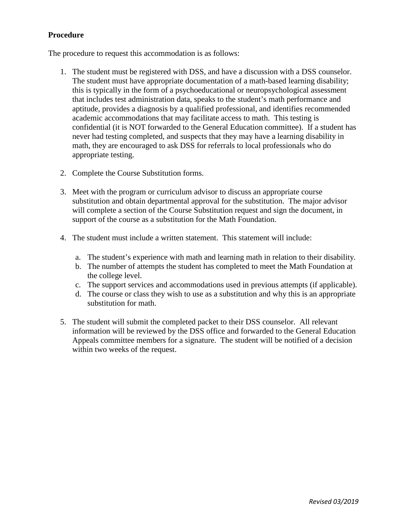### **Procedure**

The procedure to request this accommodation is as follows:

- 1. The student must be registered with DSS, and have a discussion with a DSS counselor. The student must have appropriate documentation of a math-based learning disability; this is typically in the form of a psychoeducational or neuropsychological assessment that includes test administration data, speaks to the student's math performance and aptitude, provides a diagnosis by a qualified professional, and identifies recommended academic accommodations that may facilitate access to math. This testing is confidential (it is NOT forwarded to the General Education committee). If a student has never had testing completed, and suspects that they may have a learning disability in math, they are encouraged to ask DSS for referrals to local professionals who do appropriate testing.
- 2. Complete the Course Substitution forms.
- 3. Meet with the program or curriculum advisor to discuss an appropriate course substitution and obtain departmental approval for the substitution. The major advisor will complete a section of the Course Substitution request and sign the document, in support of the course as a substitution for the Math Foundation.
- 4. The student must include a written statement. This statement will include:
	- a. The student's experience with math and learning math in relation to their disability.
	- b. The number of attempts the student has completed to meet the Math Foundation at the college level.
	- c. The support services and accommodations used in previous attempts (if applicable).
	- d. The course or class they wish to use as a substitution and why this is an appropriate substitution for math.
- 5. The student will submit the completed packet to their DSS counselor. All relevant information will be reviewed by the DSS office and forwarded to the General Education Appeals committee members for a signature. The student will be notified of a decision within two weeks of the request.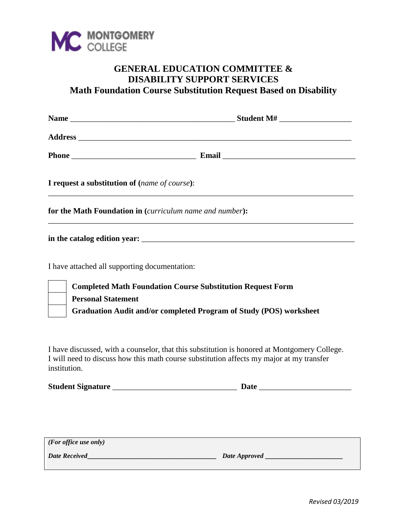

## **GENERAL EDUCATION COMMITTEE & DISABILITY SUPPORT SERVICES Math Foundation Course Substitution Request Based on Disability**

| I request a substitution of (name of course):                      |  |
|--------------------------------------------------------------------|--|
| for the Math Foundation in (curriculum name and number):           |  |
|                                                                    |  |
| I have attached all supporting documentation:                      |  |
| <b>Completed Math Foundation Course Substitution Request Form</b>  |  |
| <b>Personal Statement</b>                                          |  |
| Graduation Audit and/or completed Program of Study (POS) worksheet |  |
|                                                                    |  |

I have discussed, with a counselor, that this substitution is honored at Montgomery College. I will need to discuss how this math course substitution affects my major at my transfer institution.

| <b>Student Signature</b> |  |
|--------------------------|--|
|--------------------------|--|

*(For office use only) Date Received***\_\_\_\_\_\_\_\_\_\_\_\_\_\_\_\_\_\_\_\_\_\_\_\_\_\_\_\_\_\_\_\_\_\_\_** *Date Approved* **\_\_\_\_\_\_\_\_\_\_\_\_\_\_\_\_\_\_\_\_\_**